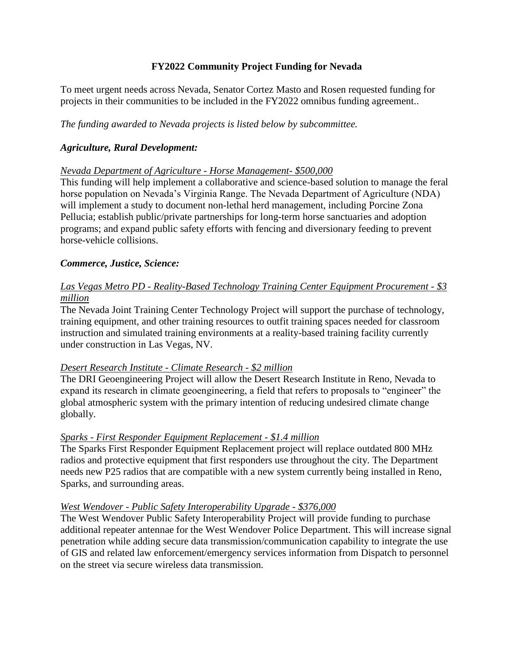## **FY2022 Community Project Funding for Nevada**

To meet urgent needs across Nevada, Senator Cortez Masto and Rosen requested funding for projects in their communities to be included in the FY2022 omnibus funding agreement..

*The funding awarded to Nevada projects is listed below by subcommittee.*

## *Agriculture, Rural Development:*

#### *Nevada Department of Agriculture - Horse Management- \$500,000*

This funding will help implement a collaborative and science-based solution to manage the feral horse population on Nevada's Virginia Range. The Nevada Department of Agriculture (NDA) will implement a study to document non-lethal herd management, including Porcine Zona Pellucia; establish public/private partnerships for long-term horse sanctuaries and adoption programs; and expand public safety efforts with fencing and diversionary feeding to prevent horse-vehicle collisions.

## *Commerce, Justice, Science:*

# *Las Vegas Metro PD - Reality-Based Technology Training Center Equipment Procurement - \$3 million*

The Nevada Joint Training Center Technology Project will support the purchase of technology, training equipment, and other training resources to outfit training spaces needed for classroom instruction and simulated training environments at a reality-based training facility currently under construction in Las Vegas, NV.

#### *Desert Research Institute - Climate Research - \$2 million*

The DRI Geoengineering Project will allow the Desert Research Institute in Reno, Nevada to expand its research in climate geoengineering, a field that refers to proposals to "engineer" the global atmospheric system with the primary intention of reducing undesired climate change globally.

#### *Sparks - First Responder Equipment Replacement - \$1.4 million*

The Sparks First Responder Equipment Replacement project will replace outdated 800 MHz radios and protective equipment that first responders use throughout the city. The Department needs new P25 radios that are compatible with a new system currently being installed in Reno, Sparks, and surrounding areas.

#### *West Wendover - Public Safety Interoperability Upgrade - \$376,000*

The West Wendover Public Safety Interoperability Project will provide funding to purchase additional repeater antennae for the West Wendover Police Department. This will increase signal penetration while adding secure data transmission/communication capability to integrate the use of GIS and related law enforcement/emergency services information from Dispatch to personnel on the street via secure wireless data transmission.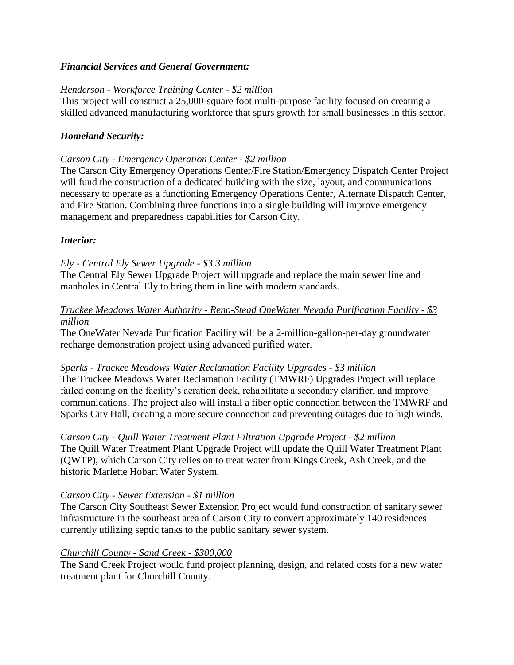## *Financial Services and General Government:*

## *Henderson - Workforce Training Center - \$2 million*

This project will construct a 25,000-square foot multi-purpose facility focused on creating a skilled advanced manufacturing workforce that spurs growth for small businesses in this sector.

## *Homeland Security:*

#### *Carson City - Emergency Operation Center - \$2 million*

The Carson City Emergency Operations Center/Fire Station/Emergency Dispatch Center Project will fund the construction of a dedicated building with the size, layout, and communications necessary to operate as a functioning Emergency Operations Center, Alternate Dispatch Center, and Fire Station. Combining three functions into a single building will improve emergency management and preparedness capabilities for Carson City.

## *Interior:*

## *Ely - Central Ely Sewer Upgrade - \$3.3 million*

The Central Ely Sewer Upgrade Project will upgrade and replace the main sewer line and manholes in Central Ely to bring them in line with modern standards.

## *Truckee Meadows Water Authority - Reno-Stead OneWater Nevada Purification Facility - \$3 million*

The OneWater Nevada Purification Facility will be a 2-million-gallon-per-day groundwater recharge demonstration project using advanced purified water.

#### *Sparks - Truckee Meadows Water Reclamation Facility Upgrades - \$3 million*

The Truckee Meadows Water Reclamation Facility (TMWRF) Upgrades Project will replace failed coating on the facility's aeration deck, rehabilitate a secondary clarifier, and improve communications. The project also will install a fiber optic connection between the TMWRF and Sparks City Hall, creating a more secure connection and preventing outages due to high winds.

#### *Carson City - Quill Water Treatment Plant Filtration Upgrade Project - \$2 million*

The Quill Water Treatment Plant Upgrade Project will update the Quill Water Treatment Plant (QWTP), which Carson City relies on to treat water from Kings Creek, Ash Creek, and the historic Marlette Hobart Water System.

#### *Carson City - Sewer Extension - \$1 million*

The Carson City Southeast Sewer Extension Project would fund construction of sanitary sewer infrastructure in the southeast area of Carson City to convert approximately 140 residences currently utilizing septic tanks to the public sanitary sewer system.

#### *Churchill County - Sand Creek - \$300,000*

The Sand Creek Project would fund project planning, design, and related costs for a new water treatment plant for Churchill County.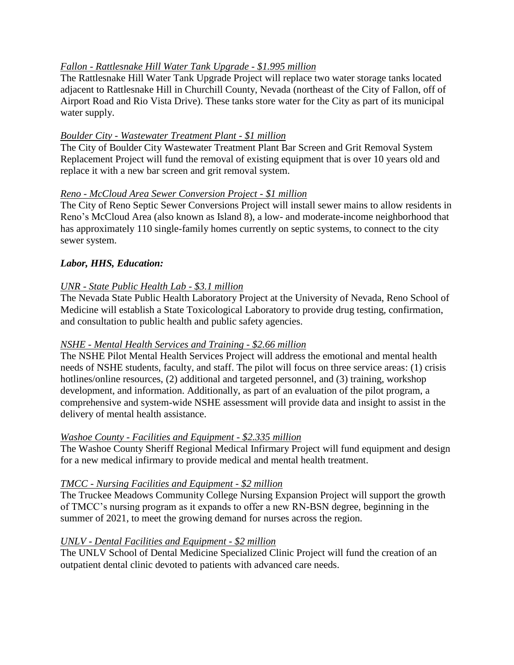# *Fallon - Rattlesnake Hill Water Tank Upgrade - \$1.995 million*

The Rattlesnake Hill Water Tank Upgrade Project will replace two water storage tanks located adjacent to Rattlesnake Hill in Churchill County, Nevada (northeast of the City of Fallon, off of Airport Road and Rio Vista Drive). These tanks store water for the City as part of its municipal water supply.

# *Boulder City - Wastewater Treatment Plant - \$1 million*

The City of Boulder City Wastewater Treatment Plant Bar Screen and Grit Removal System Replacement Project will fund the removal of existing equipment that is over 10 years old and replace it with a new bar screen and grit removal system.

# *Reno - McCloud Area Sewer Conversion Project - \$1 million*

The City of Reno Septic Sewer Conversions Project will install sewer mains to allow residents in Reno's McCloud Area (also known as Island 8), a low- and moderate-income neighborhood that has approximately 110 single-family homes currently on septic systems, to connect to the city sewer system.

# *Labor, HHS, Education:*

# *UNR - State Public Health Lab - \$3.1 million*

The Nevada State Public Health Laboratory Project at the University of Nevada, Reno School of Medicine will establish a State Toxicological Laboratory to provide drug testing, confirmation, and consultation to public health and public safety agencies.

# *NSHE - Mental Health Services and Training - \$2.66 million*

The NSHE Pilot Mental Health Services Project will address the emotional and mental health needs of NSHE students, faculty, and staff. The pilot will focus on three service areas: (1) crisis hotlines/online resources, (2) additional and targeted personnel, and (3) training, workshop development, and information. Additionally, as part of an evaluation of the pilot program, a comprehensive and system-wide NSHE assessment will provide data and insight to assist in the delivery of mental health assistance.

# *Washoe County - Facilities and Equipment - \$2.335 million*

The Washoe County Sheriff Regional Medical Infirmary Project will fund equipment and design for a new medical infirmary to provide medical and mental health treatment.

# *TMCC - Nursing Facilities and Equipment - \$2 million*

The Truckee Meadows Community College Nursing Expansion Project will support the growth of TMCC's nursing program as it expands to offer a new RN-BSN degree, beginning in the summer of 2021, to meet the growing demand for nurses across the region.

# *UNLV - Dental Facilities and Equipment - \$2 million*

The UNLV School of Dental Medicine Specialized Clinic Project will fund the creation of an outpatient dental clinic devoted to patients with advanced care needs.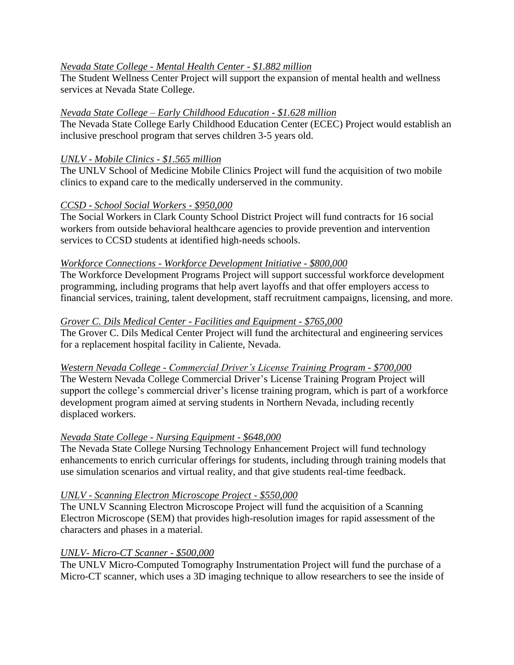## *Nevada State College - Mental Health Center - \$1.882 million*

The Student Wellness Center Project will support the expansion of mental health and wellness services at Nevada State College.

## *Nevada State College – Early Childhood Education - \$1.628 million*

The Nevada State College Early Childhood Education Center (ECEC) Project would establish an inclusive preschool program that serves children 3-5 years old.

## *UNLV - Mobile Clinics - \$1.565 million*

The UNLV School of Medicine Mobile Clinics Project will fund the acquisition of two mobile clinics to expand care to the medically underserved in the community.

## *CCSD - School Social Workers - \$950,000*

The Social Workers in Clark County School District Project will fund contracts for 16 social workers from outside behavioral healthcare agencies to provide prevention and intervention services to CCSD students at identified high-needs schools.

## *Workforce Connections - Workforce Development Initiative - \$800,000*

The Workforce Development Programs Project will support successful workforce development programming, including programs that help avert layoffs and that offer employers access to financial services, training, talent development, staff recruitment campaigns, licensing, and more.

## *Grover C. Dils Medical Center - Facilities and Equipment - \$765,000*

The Grover C. Dils Medical Center Project will fund the architectural and engineering services for a replacement hospital facility in Caliente, Nevada.

#### *Western Nevada College - Commercial Driver's License Training Program - \$700,000*

The Western Nevada College Commercial Driver's License Training Program Project will support the college's commercial driver's license training program, which is part of a workforce development program aimed at serving students in Northern Nevada, including recently displaced workers.

#### *Nevada State College - Nursing Equipment - \$648,000*

The Nevada State College Nursing Technology Enhancement Project will fund technology enhancements to enrich curricular offerings for students, including through training models that use simulation scenarios and virtual reality, and that give students real-time feedback.

#### *UNLV - Scanning Electron Microscope Project - \$550,000*

The UNLV Scanning Electron Microscope Project will fund the acquisition of a Scanning Electron Microscope (SEM) that provides high-resolution images for rapid assessment of the characters and phases in a material.

#### *UNLV- Micro-CT Scanner - \$500,000*

The UNLV Micro-Computed Tomography Instrumentation Project will fund the purchase of a Micro-CT scanner, which uses a 3D imaging technique to allow researchers to see the inside of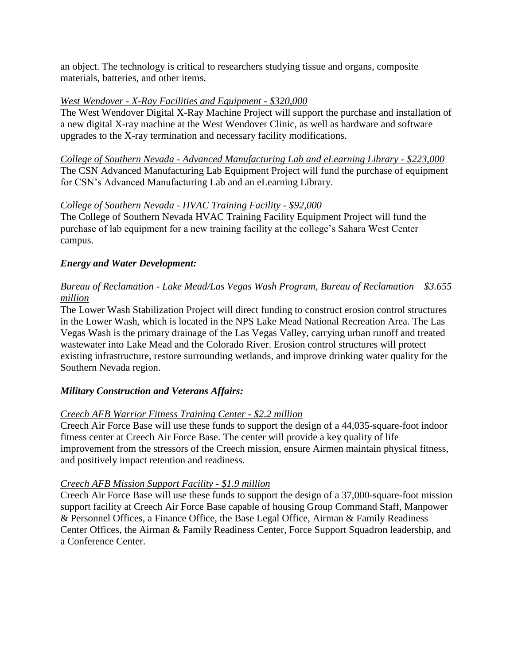an object. The technology is critical to researchers studying tissue and organs, composite materials, batteries, and other items.

#### *West Wendover - X-Ray Facilities and Equipment - \$320,000*

The West Wendover Digital X-Ray Machine Project will support the purchase and installation of a new digital X-ray machine at the West Wendover Clinic, as well as hardware and software upgrades to the X-ray termination and necessary facility modifications.

*College of Southern Nevada - Advanced Manufacturing Lab and eLearning Library - \$223,000* The CSN Advanced Manufacturing Lab Equipment Project will fund the purchase of equipment for CSN's Advanced Manufacturing Lab and an eLearning Library.

## *College of Southern Nevada - HVAC Training Facility - \$92,000*

The College of Southern Nevada HVAC Training Facility Equipment Project will fund the purchase of lab equipment for a new training facility at the college's Sahara West Center campus.

# *Energy and Water Development:*

# *Bureau of Reclamation - Lake Mead/Las Vegas Wash Program, Bureau of Reclamation – \$3.655 million*

The Lower Wash Stabilization Project will direct funding to construct erosion control structures in the Lower Wash, which is located in the NPS Lake Mead National Recreation Area. The Las Vegas Wash is the primary drainage of the Las Vegas Valley, carrying urban runoff and treated wastewater into Lake Mead and the Colorado River. Erosion control structures will protect existing infrastructure, restore surrounding wetlands, and improve drinking water quality for the Southern Nevada region.

# *Military Construction and Veterans Affairs:*

# *Creech AFB Warrior Fitness Training Center - \$2.2 million*

Creech Air Force Base will use these funds to support the design of a 44,035-square-foot indoor fitness center at Creech Air Force Base. The center will provide a key quality of life improvement from the stressors of the Creech mission, ensure Airmen maintain physical fitness, and positively impact retention and readiness.

# *Creech AFB Mission Support Facility - \$1.9 million*

Creech Air Force Base will use these funds to support the design of a 37,000-square-foot mission support facility at Creech Air Force Base capable of housing Group Command Staff, Manpower & Personnel Offices, a Finance Office, the Base Legal Office, Airman & Family Readiness Center Offices, the Airman & Family Readiness Center, Force Support Squadron leadership, and a Conference Center.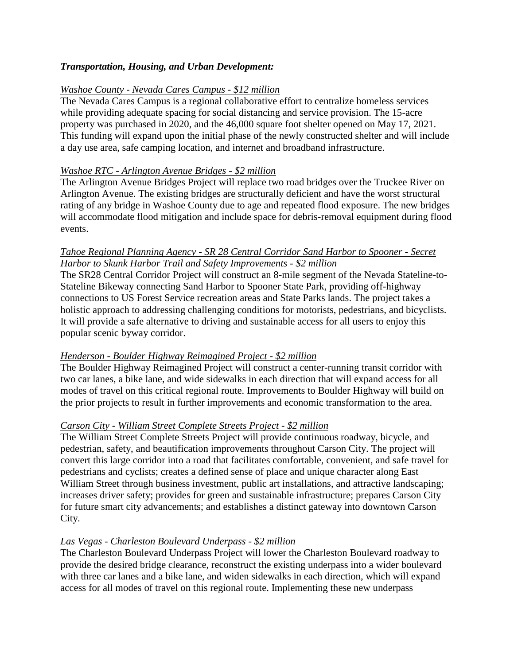## *Transportation, Housing, and Urban Development:*

#### *Washoe County - Nevada Cares Campus - \$12 million*

The Nevada Cares Campus is a regional collaborative effort to centralize homeless services while providing adequate spacing for social distancing and service provision. The 15-acre property was purchased in 2020, and the 46,000 square foot shelter opened on May 17, 2021. This funding will expand upon the initial phase of the newly constructed shelter and will include a day use area, safe camping location, and internet and broadband infrastructure.

#### *Washoe RTC - Arlington Avenue Bridges - \$2 million*

The Arlington Avenue Bridges Project will replace two road bridges over the Truckee River on Arlington Avenue. The existing bridges are structurally deficient and have the worst structural rating of any bridge in Washoe County due to age and repeated flood exposure. The new bridges will accommodate flood mitigation and include space for debris-removal equipment during flood events.

#### *Tahoe Regional Planning Agency - SR 28 Central Corridor Sand Harbor to Spooner - Secret Harbor to Skunk Harbor Trail and Safety Improvements - \$2 million*

The SR28 Central Corridor Project will construct an 8-mile segment of the Nevada Stateline-to-Stateline Bikeway connecting Sand Harbor to Spooner State Park, providing off-highway connections to US Forest Service recreation areas and State Parks lands. The project takes a holistic approach to addressing challenging conditions for motorists, pedestrians, and bicyclists. It will provide a safe alternative to driving and sustainable access for all users to enjoy this popular scenic byway corridor.

#### *Henderson - Boulder Highway Reimagined Project - \$2 million*

The Boulder Highway Reimagined Project will construct a center-running transit corridor with two car lanes, a bike lane, and wide sidewalks in each direction that will expand access for all modes of travel on this critical regional route. Improvements to Boulder Highway will build on the prior projects to result in further improvements and economic transformation to the area.

#### *Carson City - William Street Complete Streets Project - \$2 million*

The William Street Complete Streets Project will provide continuous roadway, bicycle, and pedestrian, safety, and beautification improvements throughout Carson City. The project will convert this large corridor into a road that facilitates comfortable, convenient, and safe travel for pedestrians and cyclists; creates a defined sense of place and unique character along East William Street through business investment, public art installations, and attractive landscaping; increases driver safety; provides for green and sustainable infrastructure; prepares Carson City for future smart city advancements; and establishes a distinct gateway into downtown Carson City.

# *Las Vegas - Charleston Boulevard Underpass - \$2 million*

The Charleston Boulevard Underpass Project will lower the Charleston Boulevard roadway to provide the desired bridge clearance, reconstruct the existing underpass into a wider boulevard with three car lanes and a bike lane, and widen sidewalks in each direction, which will expand access for all modes of travel on this regional route. Implementing these new underpass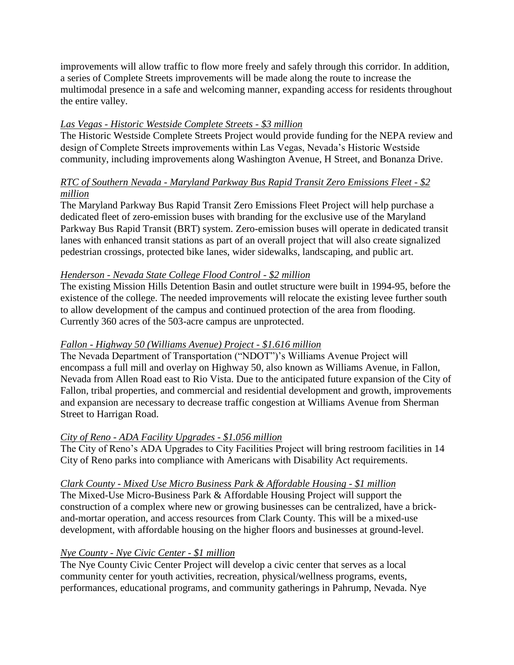improvements will allow traffic to flow more freely and safely through this corridor. In addition, a series of Complete Streets improvements will be made along the route to increase the multimodal presence in a safe and welcoming manner, expanding access for residents throughout the entire valley.

# *Las Vegas - Historic Westside Complete Streets - \$3 million*

The Historic Westside Complete Streets Project would provide funding for the NEPA review and design of Complete Streets improvements within Las Vegas, Nevada's Historic Westside community, including improvements along Washington Avenue, H Street, and Bonanza Drive.

# *RTC of Southern Nevada - Maryland Parkway Bus Rapid Transit Zero Emissions Fleet - \$2 million*

The Maryland Parkway Bus Rapid Transit Zero Emissions Fleet Project will help purchase a dedicated fleet of zero-emission buses with branding for the exclusive use of the Maryland Parkway Bus Rapid Transit (BRT) system. Zero-emission buses will operate in dedicated transit lanes with enhanced transit stations as part of an overall project that will also create signalized pedestrian crossings, protected bike lanes, wider sidewalks, landscaping, and public art.

# *Henderson - Nevada State College Flood Control - \$2 million*

The existing Mission Hills Detention Basin and outlet structure were built in 1994-95, before the existence of the college. The needed improvements will relocate the existing levee further south to allow development of the campus and continued protection of the area from flooding. Currently 360 acres of the 503-acre campus are unprotected.

# *Fallon - Highway 50 (Williams Avenue) Project - \$1.616 million*

The Nevada Department of Transportation ("NDOT")'s Williams Avenue Project will encompass a full mill and overlay on Highway 50, also known as Williams Avenue, in Fallon, Nevada from Allen Road east to Rio Vista. Due to the anticipated future expansion of the City of Fallon, tribal properties, and commercial and residential development and growth, improvements and expansion are necessary to decrease traffic congestion at Williams Avenue from Sherman Street to Harrigan Road.

# *City of Reno - ADA Facility Upgrades - \$1.056 million*

The City of Reno's ADA Upgrades to City Facilities Project will bring restroom facilities in 14 City of Reno parks into compliance with Americans with Disability Act requirements.

# *Clark County - Mixed Use Micro Business Park & Affordable Housing - \$1 million*

The Mixed-Use Micro-Business Park & Affordable Housing Project will support the construction of a complex where new or growing businesses can be centralized, have a brickand-mortar operation, and access resources from Clark County. This will be a mixed-use development, with affordable housing on the higher floors and businesses at ground-level.

# *Nye County - Nye Civic Center - \$1 million*

The Nye County Civic Center Project will develop a civic center that serves as a local community center for youth activities, recreation, physical/wellness programs, events, performances, educational programs, and community gatherings in Pahrump, Nevada. Nye